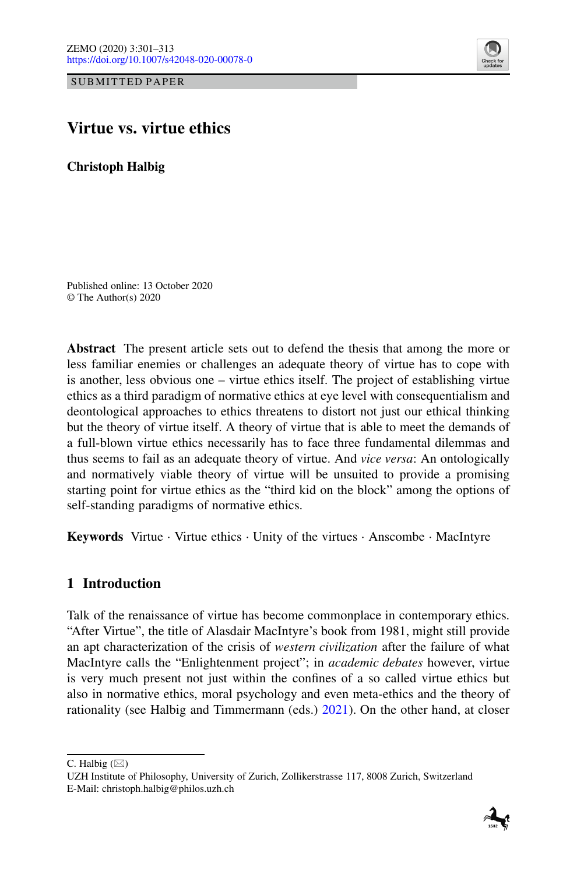SUBMITTED PAPER



# **Virtue vs. virtue ethics**

**Christoph Halbig**

Published online: 13 October 2020 © The Author(s) 2020

**Abstract** The present article sets out to defend the thesis that among the more or less familiar enemies or challenges an adequate theory of virtue has to cope with is another, less obvious one – virtue ethics itself. The project of establishing virtue ethics as a third paradigm of normative ethics at eye level with consequentialism and deontological approaches to ethics threatens to distort not just our ethical thinking but the theory of virtue itself. A theory of virtue that is able to meet the demands of a full-blown virtue ethics necessarily has to face three fundamental dilemmas and thus seems to fail as an adequate theory of virtue. And *vice versa*: An ontologically and normatively viable theory of virtue will be unsuited to provide a promising starting point for virtue ethics as the "third kid on the block" among the options of self-standing paradigms of normative ethics.

**Keywords** Virtue · Virtue ethics · Unity of the virtues · Anscombe · MacIntyre

### **1 Introduction**

Talk of the renaissance of virtue has become commonplace in contemporary ethics. "After Virtue", the title of Alasdair MacIntyre's book from 1981, might still provide an apt characterization of the crisis of *western civilization* after the failure of what MacIntyre calls the "Enlightenment project"; in *academic debates* however, virtue is very much present not just within the confines of a so called virtue ethics but also in normative ethics, moral psychology and even meta-ethics and the theory of rationality (see Halbig and Timmermann (eds.) [2021\)](#page-12-0). On the other hand, at closer

C. Halbig  $(\boxtimes)$ 

UZH Institute of Philosophy, University of Zurich, Zollikerstrasse 117, 8008 Zurich, Switzerland E-Mail: christoph.halbig@philos.uzh.ch

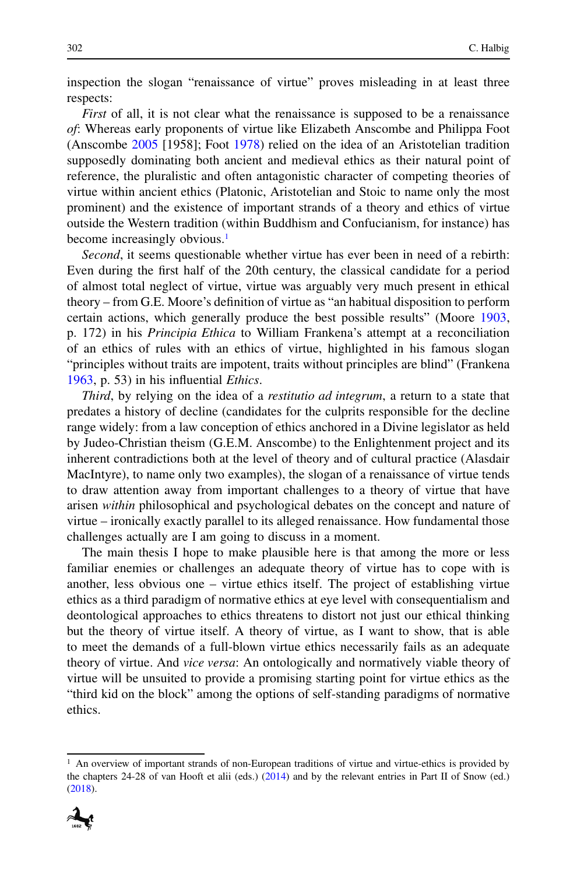inspection the slogan "renaissance of virtue" proves misleading in at least three respects:

*First* of all, it is not clear what the renaissance is supposed to be a renaissance *of*: Whereas early proponents of virtue like Elizabeth Anscombe and Philippa Foot (Anscombe [2005](#page-11-0) [1958]; Foot [1978\)](#page-11-1) relied on the idea of an Aristotelian tradition supposedly dominating both ancient and medieval ethics as their natural point of reference, the pluralistic and often antagonistic character of competing theories of virtue within ancient ethics (Platonic, Aristotelian and Stoic to name only the most prominent) and the existence of important strands of a theory and ethics of virtue outside the Western tradition (within Buddhism and Confucianism, for instance) has become increasingly obvious.<sup>1</sup>

*Second*, it seems questionable whether virtue has ever been in need of a rebirth: Even during the first half of the 20th century, the classical candidate for a period of almost total neglect of virtue, virtue was arguably very much present in ethical theory – from G.E. Moore's definition of virtue as "an habitual disposition to perform certain actions, which generally produce the best possible results" (Moore [1903,](#page-12-1) p. 172) in his *Principia Ethica* to William Frankena's attempt at a reconciliation of an ethics of rules with an ethics of virtue, highlighted in his famous slogan "principles without traits are impotent, traits without principles are blind" (Frankena [1963,](#page-12-2) p. 53) in his influential *Ethics*.

*Third*, by relying on the idea of a *restitutio ad integrum*, a return to a state that predates a history of decline (candidates for the culprits responsible for the decline range widely: from a law conception of ethics anchored in a Divine legislator as held by Judeo-Christian theism (G.E.M. Anscombe) to the Enlightenment project and its inherent contradictions both at the level of theory and of cultural practice (Alasdair MacIntyre), to name only two examples), the slogan of a renaissance of virtue tends to draw attention away from important challenges to a theory of virtue that have arisen *within* philosophical and psychological debates on the concept and nature of virtue – ironically exactly parallel to its alleged renaissance. How fundamental those challenges actually are I am going to discuss in a moment.

The main thesis I hope to make plausible here is that among the more or less familiar enemies or challenges an adequate theory of virtue has to cope with is another, less obvious one – virtue ethics itself. The project of establishing virtue ethics as a third paradigm of normative ethics at eye level with consequentialism and deontological approaches to ethics threatens to distort not just our ethical thinking but the theory of virtue itself. A theory of virtue, as I want to show, that is able to meet the demands of a full-blown virtue ethics necessarily fails as an adequate theory of virtue. And *vice versa*: An ontologically and normatively viable theory of virtue will be unsuited to provide a promising starting point for virtue ethics as the "third kid on the block" among the options of self-standing paradigms of normative ethics.

<span id="page-1-0"></span><sup>1</sup> An overview of important strands of non-European traditions of virtue and virtue-ethics is provided by the chapters 24-28 of van Hooft et alii (eds.) [\(2014\)](#page-12-3) and by the relevant entries in Part II of Snow (ed.) [\(2018\)](#page-12-4).

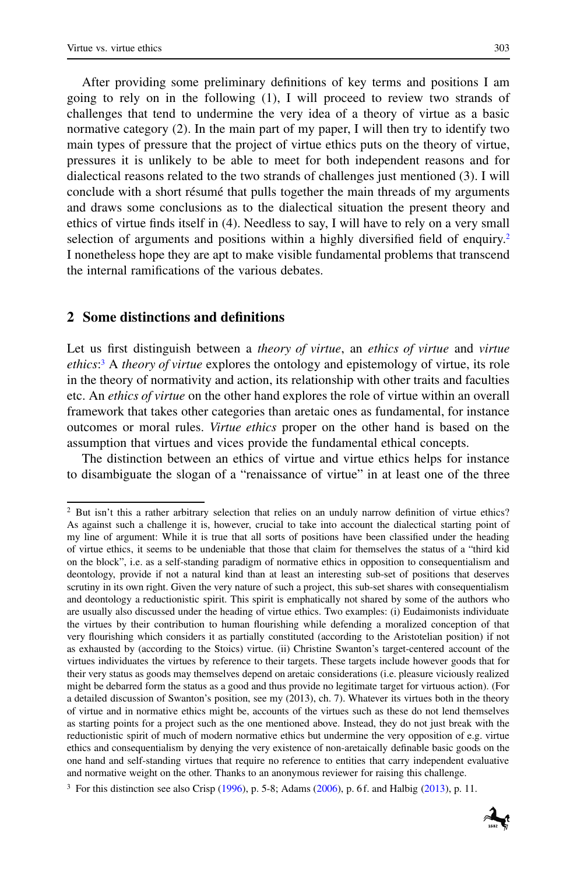After providing some preliminary definitions of key terms and positions I am going to rely on in the following (1), I will proceed to review two strands of challenges that tend to undermine the very idea of a theory of virtue as a basic normative category (2). In the main part of my paper, I will then try to identify two main types of pressure that the project of virtue ethics puts on the theory of virtue, pressures it is unlikely to be able to meet for both independent reasons and for dialectical reasons related to the two strands of challenges just mentioned (3). I will conclude with a short résumé that pulls together the main threads of my arguments and draws some conclusions as to the dialectical situation the present theory and ethics of virtue finds itself in (4). Needless to say, I will have to rely on a very small selection of arguments and positions within a highly diversified field of enquiry[.2](#page-2-0) I nonetheless hope they are apt to make visible fundamental problems that transcend the internal ramifications of the various debates.

#### **2 Some distinctions and definitions**

Let us first distinguish between a *theory of virtue*, an *ethics of virtue* and *virtue ethics*: [3](#page-2-1) A *theory of virtue* explores the ontology and epistemology of virtue, its role in the theory of normativity and action, its relationship with other traits and faculties etc. An *ethics of virtue* on the other hand explores the role of virtue within an overall framework that takes other categories than aretaic ones as fundamental, for instance outcomes or moral rules. *Virtue ethics* proper on the other hand is based on the assumption that virtues and vices provide the fundamental ethical concepts.

The distinction between an ethics of virtue and virtue ethics helps for instance to disambiguate the slogan of a "renaissance of virtue" in at least one of the three

<span id="page-2-1"></span> $3$  For this distinction see also Crisp [\(1996\)](#page-11-2), p. 5-8; Adams [\(2006\)](#page-11-3), p. 6f. and Halbig [\(2013\)](#page-12-5), p. 11.



<span id="page-2-0"></span><sup>&</sup>lt;sup>2</sup> But isn't this a rather arbitrary selection that relies on an unduly narrow definition of virtue ethics? As against such a challenge it is, however, crucial to take into account the dialectical starting point of my line of argument: While it is true that all sorts of positions have been classified under the heading of virtue ethics, it seems to be undeniable that those that claim for themselves the status of a "third kid on the block", i.e. as a self-standing paradigm of normative ethics in opposition to consequentialism and deontology, provide if not a natural kind than at least an interesting sub-set of positions that deserves scrutiny in its own right. Given the very nature of such a project, this sub-set shares with consequentialism and deontology a reductionistic spirit. This spirit is emphatically not shared by some of the authors who are usually also discussed under the heading of virtue ethics. Two examples: (i) Eudaimonists individuate the virtues by their contribution to human flourishing while defending a moralized conception of that very flourishing which considers it as partially constituted (according to the Aristotelian position) if not as exhausted by (according to the Stoics) virtue. (ii) Christine Swanton's target-centered account of the virtues individuates the virtues by reference to their targets. These targets include however goods that for their very status as goods may themselves depend on aretaic considerations (i.e. pleasure viciously realized might be debarred form the status as a good and thus provide no legitimate target for virtuous action). (For a detailed discussion of Swanton's position, see my (2013), ch. 7). Whatever its virtues both in the theory of virtue and in normative ethics might be, accounts of the virtues such as these do not lend themselves as starting points for a project such as the one mentioned above. Instead, they do not just break with the reductionistic spirit of much of modern normative ethics but undermine the very opposition of e.g. virtue ethics and consequentialism by denying the very existence of non-aretaically definable basic goods on the one hand and self-standing virtues that require no reference to entities that carry independent evaluative and normative weight on the other. Thanks to an anonymous reviewer for raising this challenge.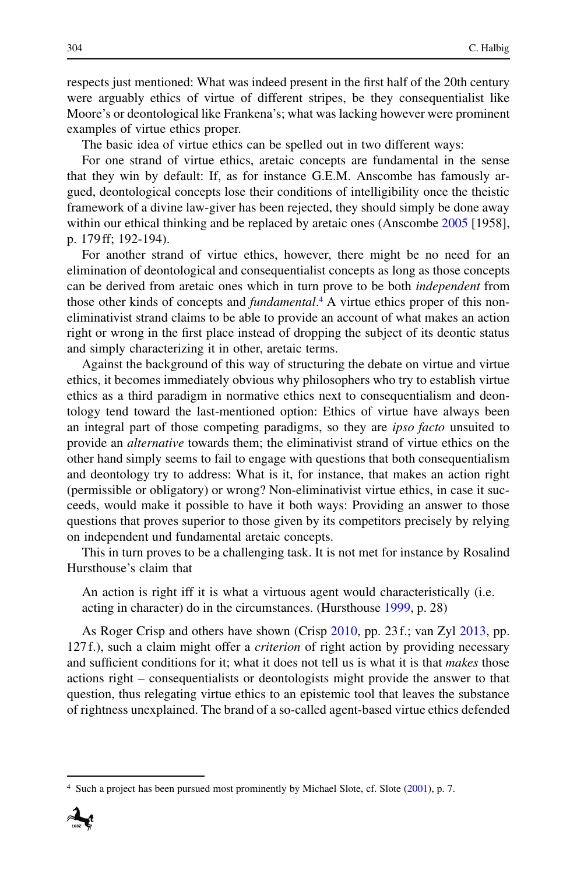respects just mentioned: What was indeed present in the first half of the 20th century were arguably ethics of virtue of different stripes, be they consequentialist like Moore's or deontological like Frankena's; what was lacking however were prominent examples of virtue ethics proper.

The basic idea of virtue ethics can be spelled out in two different ways:

For one strand of virtue ethics, aretaic concepts are fundamental in the sense that they win by default: If, as for instance G.E.M. Anscombe has famously argued, deontological concepts lose their conditions of intelligibility once the theistic framework of a divine law-giver has been rejected, they should simply be done away within our ethical thinking and be replaced by aretaic ones (Anscombe [2005](#page-11-0) [1958], p. 179 ff; 192-194).

For another strand of virtue ethics, however, there might be no need for an elimination of deontological and consequentialist concepts as long as those concepts can be derived from aretaic ones which in turn prove to be both *independent* from those other kinds of concepts and *fundamental*. [4](#page-3-0) A virtue ethics proper of this noneliminativist strand claims to be able to provide an account of what makes an action right or wrong in the first place instead of dropping the subject of its deontic status and simply characterizing it in other, aretaic terms.

Against the background of this way of structuring the debate on virtue and virtue ethics, it becomes immediately obvious why philosophers who try to establish virtue ethics as a third paradigm in normative ethics next to consequentialism and deontology tend toward the last-mentioned option: Ethics of virtue have always been an integral part of those competing paradigms, so they are *ipso facto* unsuited to provide an *alternative* towards them; the eliminativist strand of virtue ethics on the other hand simply seems to fail to engage with questions that both consequentialism and deontology try to address: What is it, for instance, that makes an action right (permissible or obligatory) or wrong? Non-eliminativist virtue ethics, in case it succeeds, would make it possible to have it both ways: Providing an answer to those questions that proves superior to those given by its competitors precisely by relying on independent und fundamental aretaic concepts.

This in turn proves to be a challenging task. It is not met for instance by Rosalind Hursthouse's claim that

An action is right iff it is what a virtuous agent would characteristically (i.e. acting in character) do in the circumstances. (Hursthouse [1999,](#page-12-6) p. 28)

As Roger Crisp and others have shown (Crisp [2010,](#page-11-4) pp. 23 f.; van Zyl [2013,](#page-12-7) pp. 127 f.), such a claim might offer a *criterion* of right action by providing necessary and sufficient conditions for it; what it does not tell us is what it is that *makes* those actions right – consequentialists or deontologists might provide the answer to that question, thus relegating virtue ethics to an epistemic tool that leaves the substance of rightness unexplained. The brand of a so-called agent-based virtue ethics defended

<span id="page-3-0"></span><sup>4</sup> Such a project has been pursued most prominently by Michael Slote, cf. Slote [\(2001\)](#page-12-8), p. 7.

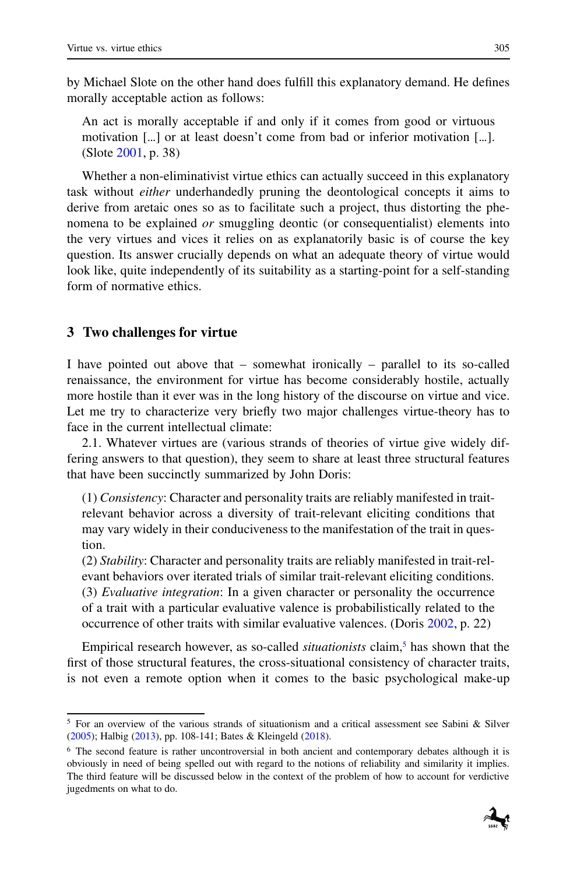by Michael Slote on the other hand does fulfill this explanatory demand. He defines morally acceptable action as follows:

An act is morally acceptable if and only if it comes from good or virtuous motivation [...] or at least doesn't come from bad or inferior motivation [...]. (Slote [2001,](#page-12-8) p. 38)

Whether a non-eliminativist virtue ethics can actually succeed in this explanatory task without *either* underhandedly pruning the deontological concepts it aims to derive from aretaic ones so as to facilitate such a project, thus distorting the phenomena to be explained *or* smuggling deontic (or consequentialist) elements into the very virtues and vices it relies on as explanatorily basic is of course the key question. Its answer crucially depends on what an adequate theory of virtue would look like, quite independently of its suitability as a starting-point for a self-standing form of normative ethics.

## **3 Two challenges for virtue**

I have pointed out above that – somewhat ironically – parallel to its so-called renaissance, the environment for virtue has become considerably hostile, actually more hostile than it ever was in the long history of the discourse on virtue and vice. Let me try to characterize very briefly two major challenges virtue-theory has to face in the current intellectual climate:

2.1. Whatever virtues are (various strands of theories of virtue give widely differing answers to that question), they seem to share at least three structural features that have been succinctly summarized by John Doris:

(1) *Consistency*: Character and personality traits are reliably manifested in traitrelevant behavior across a diversity of trait-relevant eliciting conditions that may vary widely in their conduciveness to the manifestation of the trait in question.

(2) *Stability*: Character and personality traits are reliably manifested in trait-relevant behaviors over iterated trials of similar trait-relevant eliciting conditions. (3) *Evaluative integration*: In a given character or personality the occurrence of a trait with a particular evaluative valence is probabilistically related to the occurrence of other traits with similar evaluative valences. (Doris [2002,](#page-11-5) p. 22)

Empirical research however, as so-called *situationists* claim,<sup>5</sup> has shown that the first of those structural features, the cross-situational consistency of character traits, is not even a remote option when it comes to the basic psychological make-up

<span id="page-4-1"></span><sup>6</sup> The second feature is rather uncontroversial in both ancient and contemporary debates although it is obviously in need of being spelled out with regard to the notions of reliability and similarity it implies. The third feature will be discussed below in the context of the problem of how to account for verdictive jugedments on what to do.



<span id="page-4-0"></span><sup>5</sup> For an overview of the various strands of situationism and a critical assessment see Sabini & Silver [\(2005\)](#page-12-9); Halbig [\(2013\)](#page-12-5), pp. 108-141; Bates & Kleingeld [\(2018\)](#page-11-6).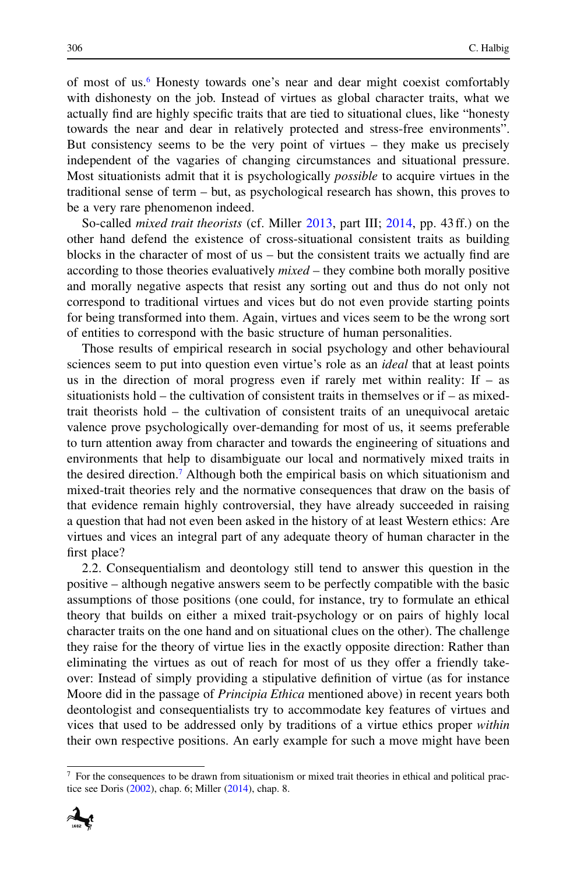of most of us[.6](#page-4-1) Honesty towards one's near and dear might coexist comfortably with dishonesty on the job. Instead of virtues as global character traits, what we actually find are highly specific traits that are tied to situational clues, like "honesty towards the near and dear in relatively protected and stress-free environments". But consistency seems to be the very point of virtues – they make us precisely independent of the vagaries of changing circumstances and situational pressure. Most situationists admit that it is psychologically *possible* to acquire virtues in the traditional sense of term – but, as psychological research has shown, this proves to be a very rare phenomenon indeed.

So-called *mixed trait theorists* (cf. Miller [2013,](#page-12-10) part III; [2014,](#page-12-11) pp. 43 ff.) on the other hand defend the existence of cross-situational consistent traits as building blocks in the character of most of us – but the consistent traits we actually find are according to those theories evaluatively *mixed* – they combine both morally positive and morally negative aspects that resist any sorting out and thus do not only not correspond to traditional virtues and vices but do not even provide starting points for being transformed into them. Again, virtues and vices seem to be the wrong sort of entities to correspond with the basic structure of human personalities.

Those results of empirical research in social psychology and other behavioural sciences seem to put into question even virtue's role as an *ideal* that at least points us in the direction of moral progress even if rarely met within reality: If – as situationists hold – the cultivation of consistent traits in themselves or if – as mixedtrait theorists hold – the cultivation of consistent traits of an unequivocal aretaic valence prove psychologically over-demanding for most of us, it seems preferable to turn attention away from character and towards the engineering of situations and environments that help to disambiguate our local and normatively mixed traits in the desired direction[.7](#page-5-0) Although both the empirical basis on which situationism and mixed-trait theories rely and the normative consequences that draw on the basis of that evidence remain highly controversial, they have already succeeded in raising a question that had not even been asked in the history of at least Western ethics: Are virtues and vices an integral part of any adequate theory of human character in the first place?

2.2. Consequentialism and deontology still tend to answer this question in the positive – although negative answers seem to be perfectly compatible with the basic assumptions of those positions (one could, for instance, try to formulate an ethical theory that builds on either a mixed trait-psychology or on pairs of highly local character traits on the one hand and on situational clues on the other). The challenge they raise for the theory of virtue lies in the exactly opposite direction: Rather than eliminating the virtues as out of reach for most of us they offer a friendly takeover: Instead of simply providing a stipulative definition of virtue (as for instance Moore did in the passage of *Principia Ethica* mentioned above) in recent years both deontologist and consequentialists try to accommodate key features of virtues and vices that used to be addressed only by traditions of a virtue ethics proper *within* their own respective positions. An early example for such a move might have been

<span id="page-5-0"></span><sup>7</sup> For the consequences to be drawn from situationism or mixed trait theories in ethical and political practice see Doris [\(2002\)](#page-11-5), chap. 6; Miller [\(2014\)](#page-12-11), chap. 8.

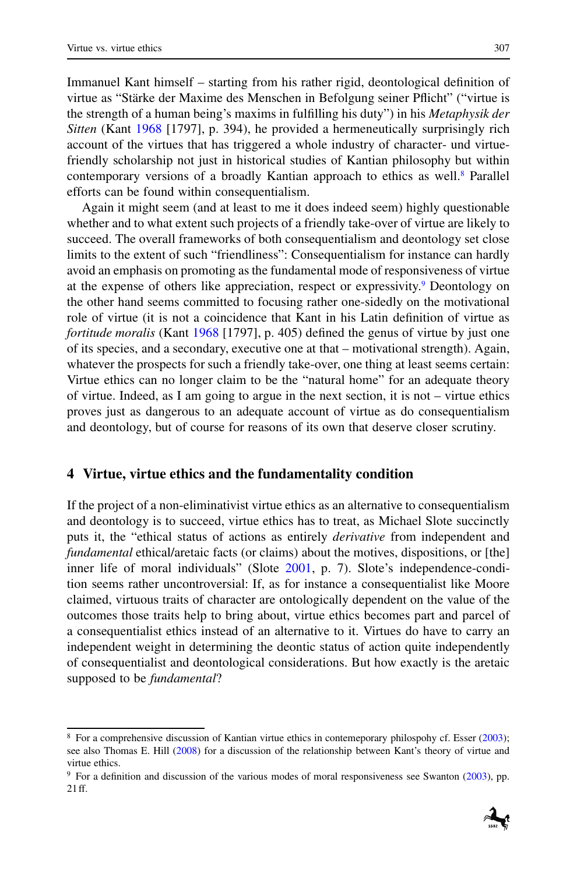Immanuel Kant himself – starting from his rather rigid, deontological definition of virtue as "Stärke der Maxime des Menschen in Befolgung seiner Pflicht" ("virtue is the strength of a human being's maxims in fulfilling his duty") in his *Metaphysik der Sitten* (Kant [1968](#page-12-12) [1797], p. 394), he provided a hermeneutically surprisingly rich account of the virtues that has triggered a whole industry of character- und virtuefriendly scholarship not just in historical studies of Kantian philosophy but within contemporary versions of a broadly Kantian approach to ethics as well.<sup>8</sup> Parallel efforts can be found within consequentialism.

Again it might seem (and at least to me it does indeed seem) highly questionable whether and to what extent such projects of a friendly take-over of virtue are likely to succeed. The overall frameworks of both consequentialism and deontology set close limits to the extent of such "friendliness": Consequentialism for instance can hardly avoid an emphasis on promoting as the fundamental mode of responsiveness of virtue at the expense of others like appreciation, respect or expressivity[.9](#page-6-1) Deontology on the other hand seems committed to focusing rather one-sidedly on the motivational role of virtue (it is not a coincidence that Kant in his Latin definition of virtue as *fortitude moralis* (Kant [1968](#page-12-12) [1797], p. 405) defined the genus of virtue by just one of its species, and a secondary, executive one at that – motivational strength). Again, whatever the prospects for such a friendly take-over, one thing at least seems certain: Virtue ethics can no longer claim to be the "natural home" for an adequate theory of virtue. Indeed, as I am going to argue in the next section, it is not – virtue ethics proves just as dangerous to an adequate account of virtue as do consequentialism and deontology, but of course for reasons of its own that deserve closer scrutiny.

### **4 Virtue, virtue ethics and the fundamentality condition**

If the project of a non-eliminativist virtue ethics as an alternative to consequentialism and deontology is to succeed, virtue ethics has to treat, as Michael Slote succinctly puts it, the "ethical status of actions as entirely *derivative* from independent and *fundamental* ethical/aretaic facts (or claims) about the motives, dispositions, or [the] inner life of moral individuals" (Slote [2001,](#page-12-8) p. 7). Slote's independence-condition seems rather uncontroversial: If, as for instance a consequentialist like Moore claimed, virtuous traits of character are ontologically dependent on the value of the outcomes those traits help to bring about, virtue ethics becomes part and parcel of a consequentialist ethics instead of an alternative to it. Virtues do have to carry an independent weight in determining the deontic status of action quite independently of consequentialist and deontological considerations. But how exactly is the aretaic supposed to be *fundamental*?



<span id="page-6-0"></span><sup>8</sup> For a comprehensive discussion of Kantian virtue ethics in contemeporary philospohy cf. Esser [\(2003\)](#page-11-7); see also Thomas E. Hill [\(2008\)](#page-12-13) for a discussion of the relationship between Kant's theory of virtue and virtue ethics.

<span id="page-6-1"></span><sup>9</sup> For a definition and discussion of the various modes of moral responsiveness see Swanton [\(2003\)](#page-12-14), pp. 21 ff.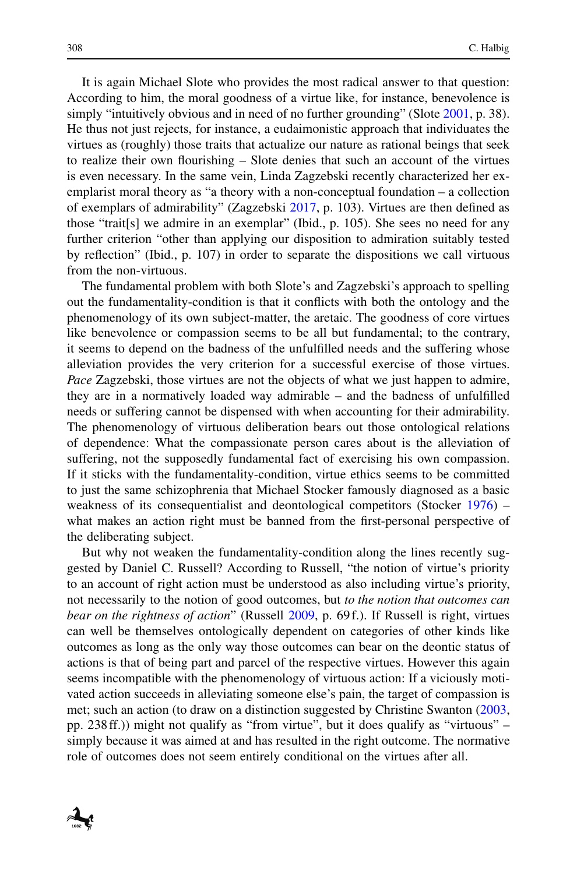It is again Michael Slote who provides the most radical answer to that question: According to him, the moral goodness of a virtue like, for instance, benevolence is simply "intuitively obvious and in need of no further grounding" (Slote [2001,](#page-12-8) p. 38). He thus not just rejects, for instance, a eudaimonistic approach that individuates the virtues as (roughly) those traits that actualize our nature as rational beings that seek to realize their own flourishing – Slote denies that such an account of the virtues is even necessary. In the same vein, Linda Zagzebski recently characterized her exemplarist moral theory as "a theory with a non-conceptual foundation – a collection of exemplars of admirability" (Zagzebski [2017,](#page-12-15) p. 103). Virtues are then defined as those "trait[s] we admire in an exemplar" (Ibid., p. 105). She sees no need for any further criterion "other than applying our disposition to admiration suitably tested by reflection" (Ibid., p. 107) in order to separate the dispositions we call virtuous from the non-virtuous.

The fundamental problem with both Slote's and Zagzebski's approach to spelling out the fundamentality-condition is that it conflicts with both the ontology and the phenomenology of its own subject-matter, the aretaic. The goodness of core virtues like benevolence or compassion seems to be all but fundamental; to the contrary, it seems to depend on the badness of the unfulfilled needs and the suffering whose alleviation provides the very criterion for a successful exercise of those virtues. *Pace* Zagzebski, those virtues are not the objects of what we just happen to admire, they are in a normatively loaded way admirable – and the badness of unfulfilled needs or suffering cannot be dispensed with when accounting for their admirability. The phenomenology of virtuous deliberation bears out those ontological relations of dependence: What the compassionate person cares about is the alleviation of suffering, not the supposedly fundamental fact of exercising his own compassion. If it sticks with the fundamentality-condition, virtue ethics seems to be committed to just the same schizophrenia that Michael Stocker famously diagnosed as a basic weakness of its consequentialist and deontological competitors (Stocker [1976\)](#page-12-16) – what makes an action right must be banned from the first-personal perspective of the deliberating subject.

But why not weaken the fundamentality-condition along the lines recently suggested by Daniel C. Russell? According to Russell, "the notion of virtue's priority to an account of right action must be understood as also including virtue's priority, not necessarily to the notion of good outcomes, but *to the notion that outcomes can bear on the rightness of action*" (Russell [2009,](#page-12-17) p. 69 f.). If Russell is right, virtues can well be themselves ontologically dependent on categories of other kinds like outcomes as long as the only way those outcomes can bear on the deontic status of actions is that of being part and parcel of the respective virtues. However this again seems incompatible with the phenomenology of virtuous action: If a viciously motivated action succeeds in alleviating someone else's pain, the target of compassion is met; such an action (to draw on a distinction suggested by Christine Swanton [\(2003,](#page-12-14) pp. 238 ff.)) might not qualify as "from virtue", but it does qualify as "virtuous" – simply because it was aimed at and has resulted in the right outcome. The normative role of outcomes does not seem entirely conditional on the virtues after all.

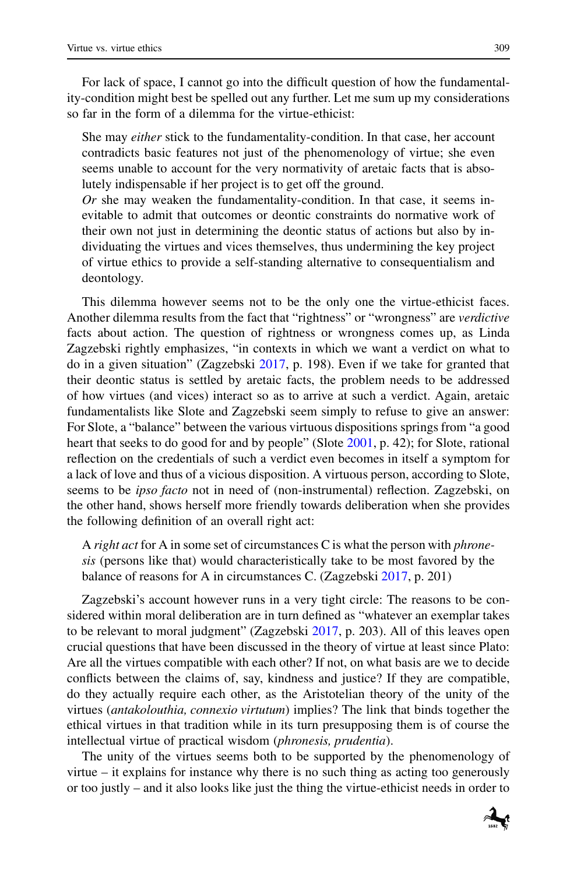For lack of space, I cannot go into the difficult question of how the fundamentality-condition might best be spelled out any further. Let me sum up my considerations so far in the form of a dilemma for the virtue-ethicist:

She may *either* stick to the fundamentality-condition. In that case, her account contradicts basic features not just of the phenomenology of virtue; she even seems unable to account for the very normativity of aretaic facts that is absolutely indispensable if her project is to get off the ground.

*Or* she may weaken the fundamentality-condition. In that case, it seems inevitable to admit that outcomes or deontic constraints do normative work of their own not just in determining the deontic status of actions but also by individuating the virtues and vices themselves, thus undermining the key project of virtue ethics to provide a self-standing alternative to consequentialism and deontology.

This dilemma however seems not to be the only one the virtue-ethicist faces. Another dilemma results from the fact that "rightness" or "wrongness" are *verdictive* facts about action. The question of rightness or wrongness comes up, as Linda Zagzebski rightly emphasizes, "in contexts in which we want a verdict on what to do in a given situation" (Zagzebski [2017,](#page-12-15) p. 198). Even if we take for granted that their deontic status is settled by aretaic facts, the problem needs to be addressed of how virtues (and vices) interact so as to arrive at such a verdict. Again, aretaic fundamentalists like Slote and Zagzebski seem simply to refuse to give an answer: For Slote, a "balance" between the various virtuous dispositions springs from "a good heart that seeks to do good for and by people" (Slote [2001,](#page-12-8) p. 42); for Slote, rational reflection on the credentials of such a verdict even becomes in itself a symptom for a lack of love and thus of a vicious disposition. A virtuous person, according to Slote, seems to be *ipso facto* not in need of (non-instrumental) reflection. Zagzebski, on the other hand, shows herself more friendly towards deliberation when she provides the following definition of an overall right act:

A *right act* for A in some set of circumstances C is what the person with *phronesis* (persons like that) would characteristically take to be most favored by the balance of reasons for A in circumstances C. (Zagzebski [2017,](#page-12-15) p. 201)

Zagzebski's account however runs in a very tight circle: The reasons to be considered within moral deliberation are in turn defined as "whatever an exemplar takes to be relevant to moral judgment" (Zagzebski [2017,](#page-12-15) p. 203). All of this leaves open crucial questions that have been discussed in the theory of virtue at least since Plato: Are all the virtues compatible with each other? If not, on what basis are we to decide conflicts between the claims of, say, kindness and justice? If they are compatible, do they actually require each other, as the Aristotelian theory of the unity of the virtues (*antakolouthia, connexio virtutum*) implies? The link that binds together the ethical virtues in that tradition while in its turn presupposing them is of course the intellectual virtue of practical wisdom (*phronesis, prudentia*).

The unity of the virtues seems both to be supported by the phenomenology of  $virtue - it explains for instance why there is no such thing as acting too generally$ or too justly – and it also looks like just the thing the virtue-ethicist needs in order to

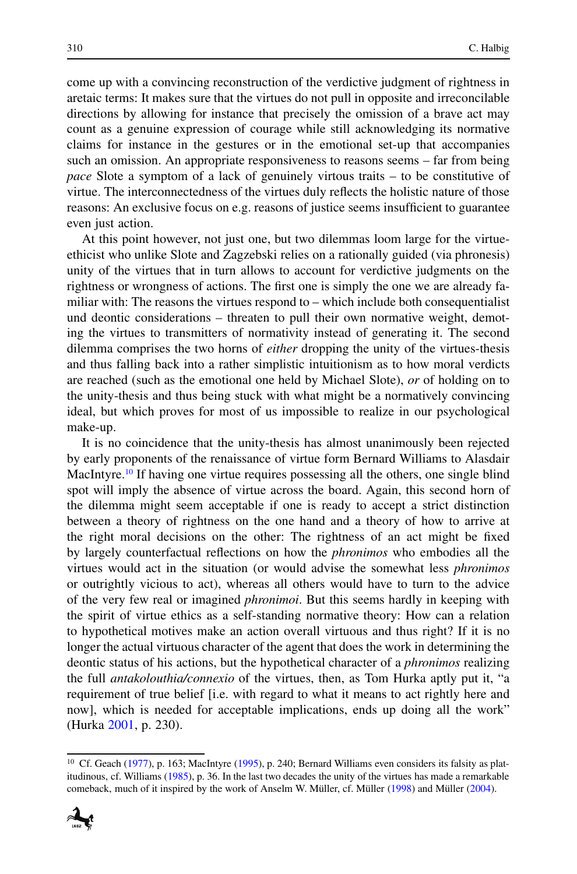come up with a convincing reconstruction of the verdictive judgment of rightness in aretaic terms: It makes sure that the virtues do not pull in opposite and irreconcilable directions by allowing for instance that precisely the omission of a brave act may count as a genuine expression of courage while still acknowledging its normative claims for instance in the gestures or in the emotional set-up that accompanies such an omission. An appropriate responsiveness to reasons seems – far from being *pace* Slote a symptom of a lack of genuinely virtous traits – to be constitutive of virtue. The interconnectedness of the virtues duly reflects the holistic nature of those reasons: An exclusive focus on e.g. reasons of justice seems insufficient to guarantee even just action.

At this point however, not just one, but two dilemmas loom large for the virtueethicist who unlike Slote and Zagzebski relies on a rationally guided (via phronesis) unity of the virtues that in turn allows to account for verdictive judgments on the rightness or wrongness of actions. The first one is simply the one we are already familiar with: The reasons the virtues respond to – which include both consequentialist und deontic considerations – threaten to pull their own normative weight, demoting the virtues to transmitters of normativity instead of generating it. The second dilemma comprises the two horns of *either* dropping the unity of the virtues-thesis and thus falling back into a rather simplistic intuitionism as to how moral verdicts are reached (such as the emotional one held by Michael Slote), *or* of holding on to the unity-thesis and thus being stuck with what might be a normatively convincing ideal, but which proves for most of us impossible to realize in our psychological make-up.

It is no coincidence that the unity-thesis has almost unanimously been rejected by early proponents of the renaissance of virtue form Bernard Williams to Alasdair MacIntyre.<sup>10</sup> If having one virtue requires possessing all the others, one single blind spot will imply the absence of virtue across the board. Again, this second horn of the dilemma might seem acceptable if one is ready to accept a strict distinction between a theory of rightness on the one hand and a theory of how to arrive at the right moral decisions on the other: The rightness of an act might be fixed by largely counterfactual reflections on how the *phronimos* who embodies all the virtues would act in the situation (or would advise the somewhat less *phronimos* or outrightly vicious to act), whereas all others would have to turn to the advice of the very few real or imagined *phronimoi*. But this seems hardly in keeping with the spirit of virtue ethics as a self-standing normative theory: How can a relation to hypothetical motives make an action overall virtuous and thus right? If it is no longer the actual virtuous character of the agent that does the work in determining the deontic status of his actions, but the hypothetical character of a *phronimos* realizing the full *antakolouthia/connexio* of the virtues, then, as Tom Hurka aptly put it, "a requirement of true belief [i.e. with regard to what it means to act rightly here and now], which is needed for acceptable implications, ends up doing all the work" (Hurka [2001,](#page-12-18) p. 230).

<span id="page-9-0"></span><sup>10</sup> Cf. Geach [\(1977\)](#page-12-19), p. 163; MacIntyre [\(1995\)](#page-12-20), p. 240; Bernard Williams even considers its falsity as platitudinous, cf. Williams [\(1985\)](#page-12-21), p. 36. In the last two decades the unity of the virtues has made a remarkable comeback, much of it inspired by the work of Anselm W. Müller, cf. Müller [\(1998\)](#page-12-22) and Müller [\(2004\)](#page-12-23).

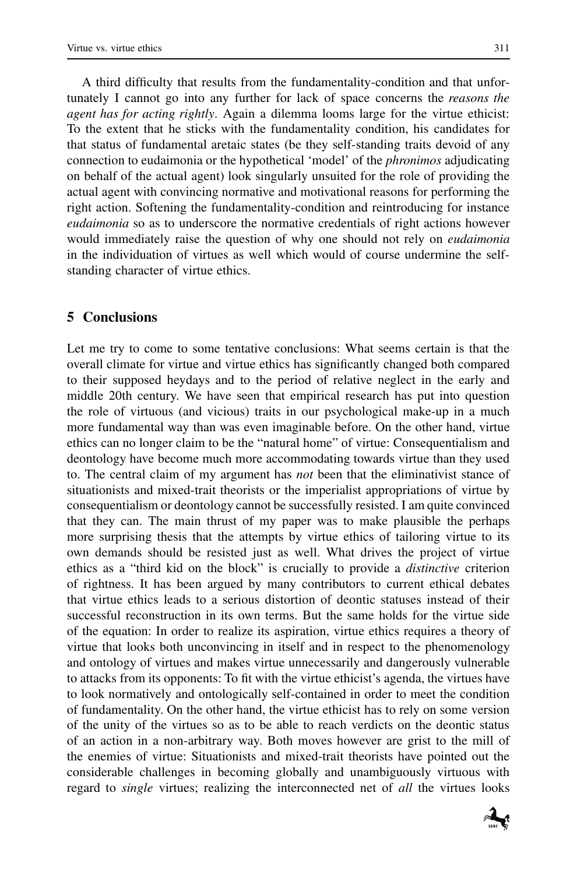A third difficulty that results from the fundamentality-condition and that unfortunately I cannot go into any further for lack of space concerns the *reasons the agent has for acting rightly*. Again a dilemma looms large for the virtue ethicist: To the extent that he sticks with the fundamentality condition, his candidates for that status of fundamental aretaic states (be they self-standing traits devoid of any connection to eudaimonia or the hypothetical 'model' of the *phronimos* adjudicating on behalf of the actual agent) look singularly unsuited for the role of providing the actual agent with convincing normative and motivational reasons for performing the right action. Softening the fundamentality-condition and reintroducing for instance *eudaimonia* so as to underscore the normative credentials of right actions however would immediately raise the question of why one should not rely on *eudaimonia* in the individuation of virtues as well which would of course undermine the selfstanding character of virtue ethics.

### **5 Conclusions**

Let me try to come to some tentative conclusions: What seems certain is that the overall climate for virtue and virtue ethics has significantly changed both compared to their supposed heydays and to the period of relative neglect in the early and middle 20th century. We have seen that empirical research has put into question the role of virtuous (and vicious) traits in our psychological make-up in a much more fundamental way than was even imaginable before. On the other hand, virtue ethics can no longer claim to be the "natural home" of virtue: Consequentialism and deontology have become much more accommodating towards virtue than they used to. The central claim of my argument has *not* been that the eliminativist stance of situationists and mixed-trait theorists or the imperialist appropriations of virtue by consequentialism or deontology cannot be successfully resisted. I am quite convinced that they can. The main thrust of my paper was to make plausible the perhaps more surprising thesis that the attempts by virtue ethics of tailoring virtue to its own demands should be resisted just as well. What drives the project of virtue ethics as a "third kid on the block" is crucially to provide a *distinctive* criterion of rightness. It has been argued by many contributors to current ethical debates that virtue ethics leads to a serious distortion of deontic statuses instead of their successful reconstruction in its own terms. But the same holds for the virtue side of the equation: In order to realize its aspiration, virtue ethics requires a theory of virtue that looks both unconvincing in itself and in respect to the phenomenology and ontology of virtues and makes virtue unnecessarily and dangerously vulnerable to attacks from its opponents: To fit with the virtue ethicist's agenda, the virtues have to look normatively and ontologically self-contained in order to meet the condition of fundamentality. On the other hand, the virtue ethicist has to rely on some version of the unity of the virtues so as to be able to reach verdicts on the deontic status of an action in a non-arbitrary way. Both moves however are grist to the mill of the enemies of virtue: Situationists and mixed-trait theorists have pointed out the considerable challenges in becoming globally and unambiguously virtuous with regard to *single* virtues; realizing the interconnected net of *all* the virtues looks

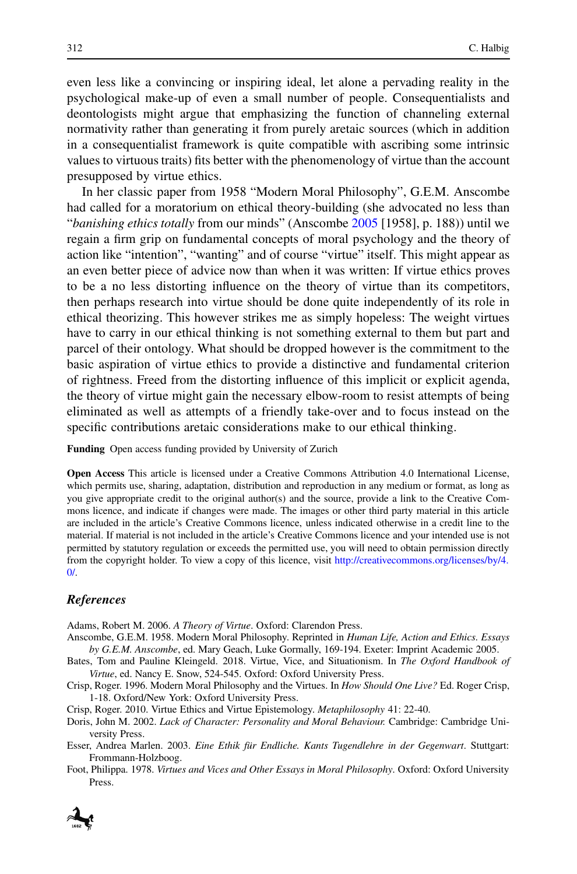even less like a convincing or inspiring ideal, let alone a pervading reality in the psychological make-up of even a small number of people. Consequentialists and deontologists might argue that emphasizing the function of channeling external normativity rather than generating it from purely aretaic sources (which in addition in a consequentialist framework is quite compatible with ascribing some intrinsic values to virtuous traits) fits better with the phenomenology of virtue than the account presupposed by virtue ethics.

In her classic paper from 1958 "Modern Moral Philosophy", G.E.M. Anscombe had called for a moratorium on ethical theory-building (she advocated no less than "*banishing ethics totally* from our minds" (Anscombe [2005](#page-11-0) [1958], p. 188)) until we regain a firm grip on fundamental concepts of moral psychology and the theory of action like "intention", "wanting" and of course "virtue" itself. This might appear as an even better piece of advice now than when it was written: If virtue ethics proves to be a no less distorting influence on the theory of virtue than its competitors, then perhaps research into virtue should be done quite independently of its role in ethical theorizing. This however strikes me as simply hopeless: The weight virtues have to carry in our ethical thinking is not something external to them but part and parcel of their ontology. What should be dropped however is the commitment to the basic aspiration of virtue ethics to provide a distinctive and fundamental criterion of rightness. Freed from the distorting influence of this implicit or explicit agenda, the theory of virtue might gain the necessary elbow-room to resist attempts of being eliminated as well as attempts of a friendly take-over and to focus instead on the specific contributions aretaic considerations make to our ethical thinking.

**Funding** Open access funding provided by University of Zurich

**Open Access** This article is licensed under a Creative Commons Attribution 4.0 International License, which permits use, sharing, adaptation, distribution and reproduction in any medium or format, as long as you give appropriate credit to the original author(s) and the source, provide a link to the Creative Commons licence, and indicate if changes were made. The images or other third party material in this article are included in the article's Creative Commons licence, unless indicated otherwise in a credit line to the material. If material is not included in the article's Creative Commons licence and your intended use is not permitted by statutory regulation or exceeds the permitted use, you will need to obtain permission directly from the copyright holder. To view a copy of this licence, visit [http://creativecommons.org/licenses/by/4.](http://creativecommons.org/licenses/by/4.0/)  $\Omega$ 

#### *References*

<span id="page-11-3"></span><span id="page-11-0"></span>Adams, Robert M. 2006. *A Theory of Virtue*. Oxford: Clarendon Press.

- Anscombe, G.E.M. 1958. Modern Moral Philosophy. Reprinted in *Human Life, Action and Ethics. Essays by G.E.M. Anscombe*, ed. Mary Geach, Luke Gormally, 169-194. Exeter: Imprint Academic 2005.
- <span id="page-11-6"></span><span id="page-11-2"></span>Bates, Tom and Pauline Kleingeld. 2018. Virtue, Vice, and Situationism. In *The Oxford Handbook of Virtue*, ed. Nancy E. Snow, 524-545. Oxford: Oxford University Press.
- Crisp, Roger. 1996. Modern Moral Philosophy and the Virtues. In *How Should One Live?* Ed. Roger Crisp, 1-18. Oxford/New York: Oxford University Press.

<span id="page-11-5"></span><span id="page-11-4"></span>Crisp, Roger. 2010. Virtue Ethics and Virtue Epistemology. *Metaphilosophy* 41: 22-40.

- Doris, John M. 2002. *Lack of Character: Personality and Moral Behaviour.* Cambridge: Cambridge University Press.
- <span id="page-11-7"></span>Esser, Andrea Marlen. 2003. *Eine Ethik für Endliche. Kants Tugendlehre in der Gegenwart*. Stuttgart: Frommann-Holzboog.
- <span id="page-11-1"></span>Foot, Philippa. 1978. *Virtues and Vices and Other Essays in Moral Philosophy*. Oxford: Oxford University Press.